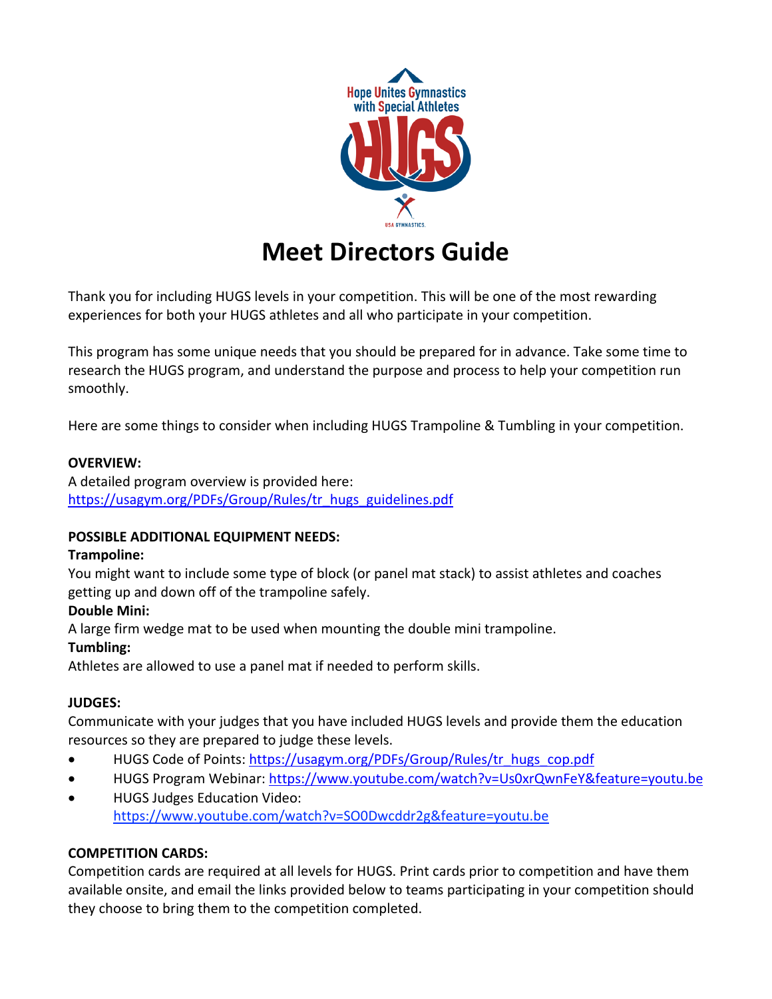

# **Meet Directors Guide**

Thank you for including HUGS levels in your competition. This will be one of the most rewarding experiences for both your HUGS athletes and all who participate in your competition.

This program has some unique needs that you should be prepared for in advance. Take some time to research the HUGS program, and understand the purpose and process to help your competition run smoothly.

Here are some things to consider when including HUGS Trampoline & Tumbling in your competition.

#### **OVERVIEW:**

A detailed program overview is provided here: https://usagym.org/PDFs/Group/Rules/tr\_hugs\_guidelines.pdf

#### **POSSIBLE ADDITIONAL EQUIPMENT NEEDS:**

#### **Trampoline:**

You might want to include some type of block (or panel mat stack) to assist athletes and coaches getting up and down off of the trampoline safely.

## **Double Mini:**

A large firm wedge mat to be used when mounting the double mini trampoline.

## **Tumbling:**

Athletes are allowed to use a panel mat if needed to perform skills.

## **JUDGES:**

Communicate with your judges that you have included HUGS levels and provide them the education resources so they are prepared to judge these levels.

- HUGS Code of Points: https://usagym.org/PDFs/Group/Rules/tr\_hugs\_cop.pdf
- HUGS Program Webinar: https://www.youtube.com/watch?v=Us0xrQwnFeY&feature=youtu.be
- HUGS Judges Education Video: https://www.youtube.com/watch?v=SO0Dwcddr2g&feature=youtu.be

## **COMPETITION CARDS:**

Competition cards are required at all levels for HUGS. Print cards prior to competition and have them available onsite, and email the links provided below to teams participating in your competition should they choose to bring them to the competition completed.